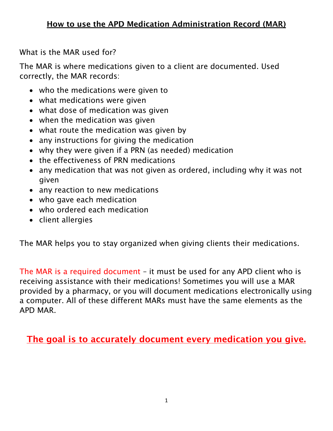What is the MAR used for?

The MAR is where medications given to a client are documented. Used correctly, the MAR records:

- who the medications were given to
- what medications were given
- what dose of medication was given
- when the medication was given
- what route the medication was given by
- any instructions for giving the medication
- why they were given if a PRN (as needed) medication
- the effectiveness of PRN medications
- any medication that was not given as ordered, including why it was not given
- any reaction to new medications
- who gave each medication
- who ordered each medication
- client allergies

The MAR helps you to stay organized when giving clients their medications.

The MAR is a required document – it must be used for any APD client who is receiving assistance with their medications! Sometimes you will use a MAR provided by a pharmacy, or you will document medications electronically using a computer. All of these different MARs must have the same elements as the APD MAR.

The goal is to accurately document every medication you give.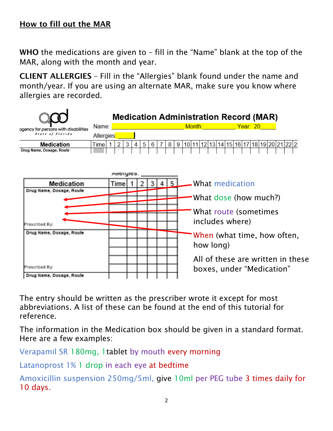WHO the medications are given to – fill in the "Name" blank at the top of the MAR, along with the month and year.

CLIENT ALLERGIES – Fill in the "Allergies" blank found under the name and month/year. If you are using an alternate MAR, make sure you know where allergies are recorded.



The entry should be written as the prescriber wrote it except for most abbreviations. A list of these can be found at the end of this tutorial for reference.

The information in the Medication box should be given in a standard format. Here are a few examples:

Verapamil SR 180mg, 1tablet by mouth every morning

Latanoprost 1% 1 drop in each eye at bedtime

Amoxicillin suspension 250mg/5ml, give 10ml per PEG tube 3 times daily for 10 days.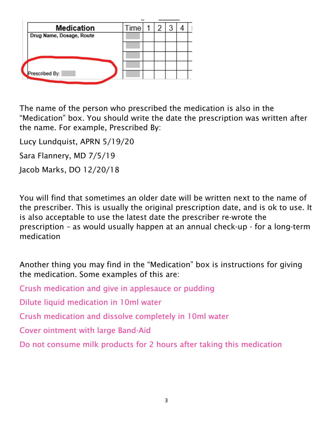| Medication               | Time |  |  |  |
|--------------------------|------|--|--|--|
| Drug Name, Dosage, Route |      |  |  |  |
|                          |      |  |  |  |
|                          |      |  |  |  |
|                          |      |  |  |  |
| Prescribed By:           |      |  |  |  |
|                          |      |  |  |  |

The name of the person who prescribed the medication is also in the "Medication" box. You should write the date the prescription was written after the name. For example, Prescribed By:

Lucy Lundquist, APRN 5/19/20

Sara Flannery, MD 7/5/19

Jacob Marks, DO 12/20/18

You will find that sometimes an older date will be written next to the name of the prescriber. This is usually the original prescription date, and is ok to use. It is also acceptable to use the latest date the prescriber re-wrote the prescription – as would usually happen at an annual check-up - for a long-term medication

Another thing you may find in the "Medication" box is instructions for giving the medication. Some examples of this are:

Crush medication and give in applesauce or pudding

Dilute liquid medication in 10ml water

Crush medication and dissolve completely in 10ml water

Cover ointment with large Band-Aid

Do not consume milk products for 2 hours after taking this medication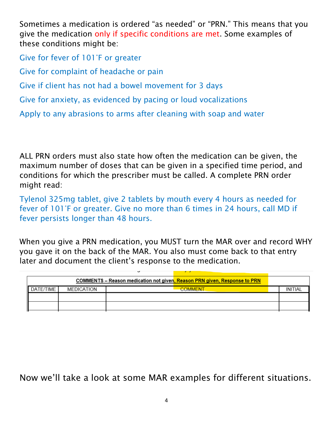Sometimes a medication is ordered "as needed" or "PRN." This means that you give the medication only if specific conditions are met. Some examples of these conditions might be:

Give for fever of 101°F or greater Give for complaint of headache or pain Give if client has not had a bowel movement for 3 days Give for anxiety, as evidenced by pacing or loud vocalizations Apply to any abrasions to arms after cleaning with soap and water

ALL PRN orders must also state how often the medication can be given, the maximum number of doses that can be given in a specified time period, and conditions for which the prescriber must be called. A complete PRN order might read:

Tylenol 325mg tablet, give 2 tablets by mouth every 4 hours as needed for fever of 101°F or greater. Give no more than 6 times in 24 hours, call MD if fever persists longer than 48 hours.

When you give a PRN medication, you MUST turn the MAR over and record WHY you gave it on the back of the MAR. You also must come back to that entry later and document the client's response to the medication.

|           |            | <b>COMMENTS</b> – Reason medication not given, Reason PRN given, Response to PRN |         |
|-----------|------------|----------------------------------------------------------------------------------|---------|
| DATE/TIME | MEDICATION | <b>COMMENT</b>                                                                   | INITIAL |
|           |            |                                                                                  |         |
|           |            |                                                                                  |         |

Now we'll take a look at some MAR examples for different situations.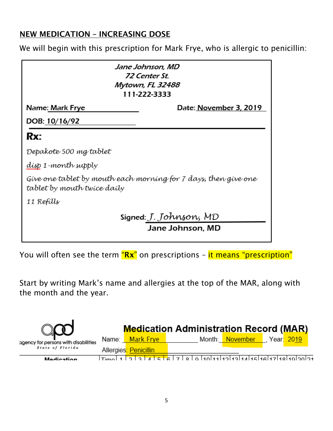#### NEW MEDICATION – INCREASING DOSE

We will begin with this prescription for Mark Frye, who is allergic to penicillin:

| Jane Johnson, MD<br>72 Center St.<br>Mytown, FL 32488<br>111-222-3333                          |
|------------------------------------------------------------------------------------------------|
| Date: <u>November 3,</u> 2019<br>Name: Mark Frye                                               |
| DOB: 10/16/92                                                                                  |
| Rx:                                                                                            |
| Depakote 500 mg tablet                                                                         |
| dísp 1 -month supply                                                                           |
| Give one tablet by mouth each morning for 7 days, then give one<br>tablet by mouth twice daily |
| 11 Refills                                                                                     |
| Signed: J. Johnson, MD<br>Jane Johnson, MD                                                     |

You will often see the term "Rx" on prescriptions - it means "prescription"

Start by writing Mark's name and allergies at the top of the MAR, along with the month and the year.

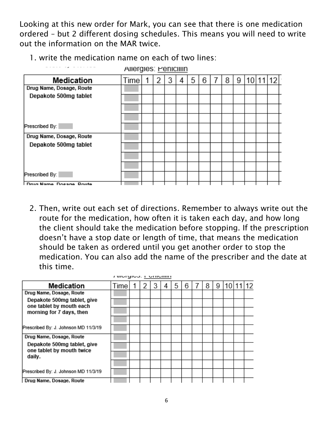Looking at this new order for Mark, you can see that there is one medication ordered – but 2 different dosing schedules. This means you will need to write out the information on the MAR twice.

1. write the medication name on each of two lines:

|                                   | Allergies: Peniciliin |   |   |   |   |   |   |   |  |  |
|-----------------------------------|-----------------------|---|---|---|---|---|---|---|--|--|
| Medication                        | Time                  | 2 | 3 | 4 | 5 | 6 | 8 | 9 |  |  |
| Drug Name, Dosage, Route          |                       |   |   |   |   |   |   |   |  |  |
| Depakote 500mg tablet             |                       |   |   |   |   |   |   |   |  |  |
|                                   |                       |   |   |   |   |   |   |   |  |  |
|                                   |                       |   |   |   |   |   |   |   |  |  |
| Prescribed By:                    |                       |   |   |   |   |   |   |   |  |  |
| Drug Name, Dosage, Route          |                       |   |   |   |   |   |   |   |  |  |
| Depakote 500mg tablet             |                       |   |   |   |   |   |   |   |  |  |
|                                   |                       |   |   |   |   |   |   |   |  |  |
|                                   |                       |   |   |   |   |   |   |   |  |  |
| Prescribed By:                    |                       |   |   |   |   |   |   |   |  |  |
| <b>I Drug Name, Docage, Doute</b> |                       |   |   |   |   |   |   |   |  |  |

2. Then, write out each set of directions. Remember to always write out the route for the medication, how often it is taken each day, and how long the client should take the medication before stopping. If the prescription doesn't have a stop date or length of time, that means the medication should be taken as ordered until you get another order to stop the medication. You can also add the name of the prescriber and the date at this time.

|                                                          | r worgioa, i oriioiiiiri |  |   |   |   |   |   |    |  |
|----------------------------------------------------------|--------------------------|--|---|---|---|---|---|----|--|
| <b>Medication</b>                                        | Time                     |  | 4 | 5 | 6 | 8 | 9 | 10 |  |
| Drug Name, Dosage, Route                                 |                          |  |   |   |   |   |   |    |  |
| Depakote 500mg tablet, give<br>one tablet by mouth each  |                          |  |   |   |   |   |   |    |  |
| morning for 7 days, then                                 |                          |  |   |   |   |   |   |    |  |
|                                                          |                          |  |   |   |   |   |   |    |  |
| Prescribed By: J. Johnson MD 11/3/19                     |                          |  |   |   |   |   |   |    |  |
| Drug Name, Dosage, Route                                 |                          |  |   |   |   |   |   |    |  |
| Depakote 500mg tablet, give<br>one tablet by mouth twice |                          |  |   |   |   |   |   |    |  |
| daily.                                                   |                          |  |   |   |   |   |   |    |  |
|                                                          |                          |  |   |   |   |   |   |    |  |
| Prescribed By: J. Johnson MD 11/3/19                     |                          |  |   |   |   |   |   |    |  |
| Drug Name, Dosage, Route                                 |                          |  |   |   |   |   |   |    |  |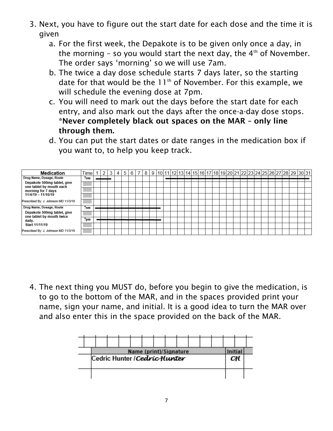- 3. Next, you have to figure out the start date for each dose and the time it is given
	- a. For the first week, the Depakote is to be given only once a day, in the morning  $-$  so you would start the next day, the  $4<sup>th</sup>$  of November. The order says 'morning' so we will use 7am.
	- b. The twice a day dose schedule starts 7 days later, so the starting date for that would be the  $11<sup>th</sup>$  of November. For this example, we will schedule the evening dose at 7pm.
	- c. You will need to mark out the days before the start date for each entry, and also mark out the days after the once-a-day dose stops. \*Never completely black out spaces on the MAR – only line through them.
	- d. You can put the start dates or date ranges in the medication box if you want to, to help you keep track.

| Medication                                               | Time            |  | 3 | 4 | 5 | 6 | 8 |  |  |  |  |  |  |  |  |  |  | 9  10   11   12   13   14   15   16   17   18   19   20   21   22   23   24   25   26   27   28   29   30   31 |  |
|----------------------------------------------------------|-----------------|--|---|---|---|---|---|--|--|--|--|--|--|--|--|--|--|----------------------------------------------------------------------------------------------------------------|--|
| Drug Name, Dosage, Route                                 | 7am             |  |   |   |   |   |   |  |  |  |  |  |  |  |  |  |  |                                                                                                                |  |
| Depakote 500mg tablet, give<br>one tablet by mouth each  |                 |  |   |   |   |   |   |  |  |  |  |  |  |  |  |  |  |                                                                                                                |  |
| morning for 7 days                                       |                 |  |   |   |   |   |   |  |  |  |  |  |  |  |  |  |  |                                                                                                                |  |
| $11/4/19 - 11/10/19$                                     |                 |  |   |   |   |   |   |  |  |  |  |  |  |  |  |  |  |                                                                                                                |  |
| Prescribed By: J. Johnson MD 11/3/19                     |                 |  |   |   |   |   |   |  |  |  |  |  |  |  |  |  |  |                                                                                                                |  |
| Drug Name, Dosage, Route                                 | 7am             |  |   |   |   |   |   |  |  |  |  |  |  |  |  |  |  |                                                                                                                |  |
| Depakote 500mg tablet, give<br>one tablet by mouth twice |                 |  |   |   |   |   |   |  |  |  |  |  |  |  |  |  |  |                                                                                                                |  |
| daily.                                                   | 7 <sub>pm</sub> |  |   |   |   |   |   |  |  |  |  |  |  |  |  |  |  |                                                                                                                |  |
| Start 11/11/19                                           |                 |  |   |   |   |   |   |  |  |  |  |  |  |  |  |  |  |                                                                                                                |  |
| Prescribed By: J. Johnson MD 11/3/19                     |                 |  |   |   |   |   |   |  |  |  |  |  |  |  |  |  |  |                                                                                                                |  |

4. The next thing you MUST do, before you begin to give the medication, is to go to the bottom of the MAR, and in the spaces provided print your name, sign your name, and initial. It is a good idea to turn the MAR over and also enter this in the space provided on the back of the MAR.

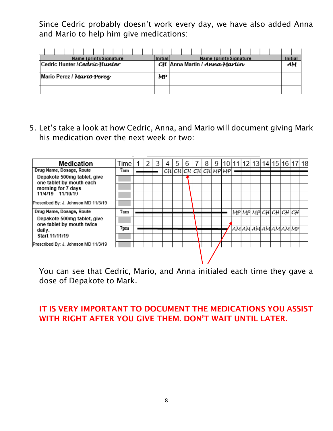Since Cedric probably doesn't work every day, we have also added Anna and Mario to help him give medications:

|                               |  |  | Name (print)/Signature |  |  |  | Initial |                              |  |  |  | Name (print)/Signature |  |  | Initial |
|-------------------------------|--|--|------------------------|--|--|--|---------|------------------------------|--|--|--|------------------------|--|--|---------|
| Cedric Hunter / Cedric Hunter |  |  |                        |  |  |  |         | CH Anna Martin / Anna Martin |  |  |  |                        |  |  | AМ      |
|                               |  |  |                        |  |  |  |         |                              |  |  |  |                        |  |  |         |
| Mario Perez / Marío Perez     |  |  |                        |  |  |  | MP      |                              |  |  |  |                        |  |  |         |
|                               |  |  |                        |  |  |  |         |                              |  |  |  |                        |  |  |         |
|                               |  |  |                        |  |  |  |         |                              |  |  |  |                        |  |  |         |
|                               |  |  |                        |  |  |  |         |                              |  |  |  |                        |  |  |         |

5. Let's take a look at how Cedric, Anna, and Mario will document giving Mark his medication over the next week or two:



You can see that Cedric, Mario, and Anna initialed each time they gave a dose of Depakote to Mark.

#### IT IS VERY IMPORTANT TO DOCUMENT THE MEDICATIONS YOU ASSIST WITH RIGHT AFTER YOU GIVE THEM. DON'T WAIT UNTIL LATER.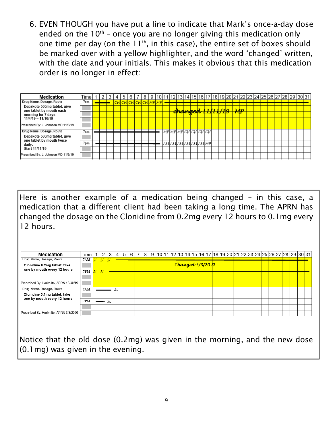6. EVEN THOUGH you have put a line to indicate that Mark's once-a-day dose ended on the  $10<sup>th</sup>$  – once you are no longer giving this medication only one time per day (on the  $11<sup>th</sup>$ , in this case), the entire set of boxes should be marked over with a yellow highlighter, and the word 'changed' written, with the date and your initials. This makes it obvious that this medication order is no longer in effect:

| Medication                                               | Time <sub>1</sub> |  | 4 | 5 <sup>1</sup> | 6                    | 8 |  |  |                                          |  |  |  |                |  |  |  | 9  10   11   12   13   14   15   16   17   18   19   20   21   22   23   24   25   26   27   28   29   30   31 |  |
|----------------------------------------------------------|-------------------|--|---|----------------|----------------------|---|--|--|------------------------------------------|--|--|--|----------------|--|--|--|----------------------------------------------------------------------------------------------------------------|--|
| Drug Name, Dosage, Route                                 | 7am               |  |   |                | CH CH CH CH CH MP MP |   |  |  |                                          |  |  |  |                |  |  |  |                                                                                                                |  |
| Depakote 500mg tablet, give<br>one tablet by mouth each  |                   |  |   |                |                      |   |  |  | <del>changed 11/11/1<mark>9</mark></del> |  |  |  | $\mathcal{MP}$ |  |  |  |                                                                                                                |  |
| morning for 7 days                                       |                   |  |   |                |                      |   |  |  |                                          |  |  |  |                |  |  |  |                                                                                                                |  |
| $11/4/19 - 11/10/19$                                     |                   |  |   |                |                      |   |  |  |                                          |  |  |  |                |  |  |  |                                                                                                                |  |
| Prescribed By: J. Johnson MD 11/3/19                     |                   |  |   |                |                      |   |  |  |                                          |  |  |  |                |  |  |  |                                                                                                                |  |
| Drug Name, Dosage, Route                                 | 7am               |  |   |                |                      |   |  |  | MP MP MP CH CH CH CH                     |  |  |  |                |  |  |  |                                                                                                                |  |
| Depakote 500mg tablet, give<br>one tablet by mouth twice |                   |  |   |                |                      |   |  |  |                                          |  |  |  |                |  |  |  |                                                                                                                |  |
| daily.                                                   | 7 <sub>pm</sub>   |  |   |                |                      |   |  |  | AM AM AM AM AM MP                        |  |  |  |                |  |  |  |                                                                                                                |  |
| Start 11/11/19                                           |                   |  |   |                |                      |   |  |  |                                          |  |  |  |                |  |  |  |                                                                                                                |  |
| Prescribed By: J. Johnson MD 11/3/19                     |                   |  |   |                |                      |   |  |  |                                          |  |  |  |                |  |  |  |                                                                                                                |  |

Here is another example of a medication being changed – in this case, a medication that a different client had been taking a long time. The APRN has changed the dosage on the Clonidine from 0.2mg every 12 hours to 0.1mg every 12 hours.

| <b>Medication</b>                       | Time       | -1        | 2         | 3  | 4   | 5 | 6 | 8 |  |  |  |                   |  |  |  |  |  |  | 9  10 11 12 13 14 15 16 17 18 19 20 21 22 23 24 25 26 27 28  29  30   31 |  |
|-----------------------------------------|------------|-----------|-----------|----|-----|---|---|---|--|--|--|-------------------|--|--|--|--|--|--|--------------------------------------------------------------------------|--|
| Drug Name, Dosage, Route                | 7AM        | st        | $SL$ $SL$ |    |     |   |   |   |  |  |  |                   |  |  |  |  |  |  |                                                                          |  |
| Clonidine 0.2mg tablet, take            |            |           |           |    |     |   |   |   |  |  |  | Changed 3/3/20 SL |  |  |  |  |  |  |                                                                          |  |
| one by mouth every 12 hours             | 7PM        | <b>SL</b> | lst.      |    |     |   |   |   |  |  |  |                   |  |  |  |  |  |  |                                                                          |  |
|                                         |            |           |           |    |     |   |   |   |  |  |  |                   |  |  |  |  |  |  |                                                                          |  |
| Prescribed By: Harim Ito, APRN 12/30/19 |            |           |           |    |     |   |   |   |  |  |  |                   |  |  |  |  |  |  |                                                                          |  |
| Drug Name, Dosage, Route                | <b>7AM</b> |           |           |    | lsl |   |   |   |  |  |  |                   |  |  |  |  |  |  |                                                                          |  |
| Clonidine 0.1mg tablet, take            |            |           |           |    |     |   |   |   |  |  |  |                   |  |  |  |  |  |  |                                                                          |  |
| one by mouth every 12 hours             | 7PM        |           |           | sı |     |   |   |   |  |  |  |                   |  |  |  |  |  |  |                                                                          |  |
|                                         |            |           |           |    |     |   |   |   |  |  |  |                   |  |  |  |  |  |  |                                                                          |  |
| Prescribed By: Harim Ito, APRN 3/3/2020 |            |           |           |    |     |   |   |   |  |  |  |                   |  |  |  |  |  |  |                                                                          |  |
|                                         |            |           |           |    |     |   |   |   |  |  |  |                   |  |  |  |  |  |  |                                                                          |  |
|                                         |            |           |           |    |     |   |   |   |  |  |  |                   |  |  |  |  |  |  |                                                                          |  |
|                                         |            |           |           |    |     |   |   |   |  |  |  |                   |  |  |  |  |  |  |                                                                          |  |

Notice that the old dose (0.2mg) was given in the morning, and the new dose (0.1mg) was given in the evening.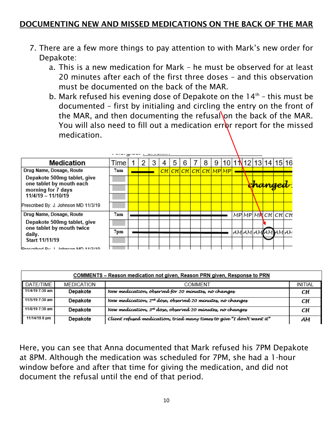#### DOCUMENTING NEW AND MISSED MEDICATIONS ON THE BACK OF THE MAR

- 7. There are a few more things to pay attention to with Mark's new order for Depakote:
	- a. This is a new medication for Mark he must be observed for at least 20 minutes after each of the first three doses – and this observation must be documented on the back of the MAR.
	- b. Mark refused his evening dose of Depakote on the  $14<sup>th</sup>$  this must be documented – first by initialing and circling the entry on the front of the MAR, and then documenting the refusal on the back of the MAR. You will also need to fill out a medication error report for the missed medication.

| <b>Medication</b>                                        | Time   |  | 3 | 5 | 6 | 8                                 | 9 |  |  | 10 1 1 2 13 14 15 16 |  |
|----------------------------------------------------------|--------|--|---|---|---|-----------------------------------|---|--|--|----------------------|--|
| Drug Name, Dosage, Route                                 | 7am    |  |   |   |   | <mark>CH CH CH CH CH MP MP</mark> |   |  |  |                      |  |
| Depakote 500mg tablet, give<br>one tablet by mouth each  |        |  |   |   |   |                                   |   |  |  |                      |  |
| morning for 7 days                                       |        |  |   |   |   |                                   |   |  |  |                      |  |
| $11/4/19 - 11/10/19$                                     |        |  |   |   |   |                                   |   |  |  |                      |  |
| Prescribed By: J. Johnson MD 11/3/19                     |        |  |   |   |   |                                   |   |  |  |                      |  |
| Drug Name, Dosage, Route                                 | 7am    |  |   |   |   |                                   |   |  |  | MP MP MA CH CH CH    |  |
| Depakote 500mg tablet, give<br>one tablet by mouth twice |        |  |   |   |   |                                   |   |  |  |                      |  |
| daily.                                                   | $7$ pm |  |   |   |   |                                   |   |  |  | AMAMAMAMAMAM         |  |
| Start 11/11/19                                           |        |  |   |   |   |                                   |   |  |  |                      |  |
| IProceribed Pu: L. Johnson MD 11/2/10                    |        |  |   |   |   |                                   |   |  |  |                      |  |

|                 |                   | COMMENTS – Reason medication not given, Reason PRN given, Response to PRN |                |
|-----------------|-------------------|---------------------------------------------------------------------------|----------------|
| DATE/TIME       | <b>MEDICATION</b> | COMMENT                                                                   | <b>INITIAL</b> |
| 11/4/19 7:30 am | Depakote          | New medication, observed for 20 minutes, no changes                       | CН             |
| 11/5/19 7:30 am | Depakote          | New medication, 2 <sup>nd</sup> doze, observed 20 minutes, no changes     | CН             |
| 11/6/19 7:30 am | Depakote          | New medication, 3 <sup>rd</sup> dose, observed 20 minutes, no changes     | CН             |
| 11/14/19 8 pm   | Depakote          | Client refused medication, tried many times to give "I don't want it"     | AМ             |

Here, you can see that Anna documented that Mark refused his 7PM Depakote at 8PM. Although the medication was scheduled for 7PM, she had a 1-hour window before and after that time for giving the medication, and did not document the refusal until the end of that period.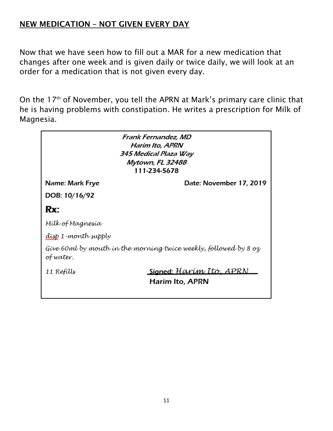### NEW MEDICATION – NOT GIVEN EVERY DAY

Now that we have seen how to fill out a MAR for a new medication that changes after one week and is given daily or twice daily, we will look at an order for a medication that is not given every day.

On the 17<sup>th</sup> of November, you tell the APRN at Mark's primary care clinic that he is having problems with constipation. He writes a prescription for Milk of Magnesia.

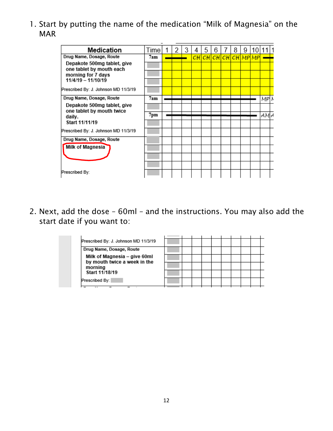1. Start by putting the name of the medication "Milk of Magnesia" on the MAR

| Medication                                               | Time            |  | 3 | 4  | 5 | 6              | 8 | 9 | 10 |      |  |
|----------------------------------------------------------|-----------------|--|---|----|---|----------------|---|---|----|------|--|
| Drug Name, Dosage, Route                                 | 7am             |  |   | СH |   | CHCHCHCHCHMPMP |   |   |    |      |  |
| Depakote 500mg tablet, give<br>one tablet by mouth each  |                 |  |   |    |   |                |   |   |    |      |  |
| morning for 7 days                                       |                 |  |   |    |   |                |   |   |    |      |  |
| $11/4/19 - 11/10/19$                                     |                 |  |   |    |   |                |   |   |    |      |  |
| Prescribed By: J. Johnson MD 11/3/19                     |                 |  |   |    |   |                |   |   |    |      |  |
| Drug Name, Dosage, Route                                 | 7am             |  |   |    |   |                |   |   |    | MPIN |  |
| Depakote 500mg tablet, give<br>one tablet by mouth twice |                 |  |   |    |   |                |   |   |    |      |  |
| daily.                                                   | $7 \mathrm{pm}$ |  |   |    |   |                |   |   |    | AM∤  |  |
| Start 11/11/19                                           |                 |  |   |    |   |                |   |   |    |      |  |
| Prescribed By: J. Johnson MD 11/3/19                     |                 |  |   |    |   |                |   |   |    |      |  |
| Drug Name, Dosage, Route                                 |                 |  |   |    |   |                |   |   |    |      |  |
| Milk of Magnesia                                         |                 |  |   |    |   |                |   |   |    |      |  |
|                                                          |                 |  |   |    |   |                |   |   |    |      |  |
|                                                          |                 |  |   |    |   |                |   |   |    |      |  |
| Prescribed By:                                           |                 |  |   |    |   |                |   |   |    |      |  |

2. Next, add the dose – 60ml – and the instructions. You may also add the start date if you want to:

| Prescribed By: J. Johnson MD 11/3/19                         |  |  |  |  |  |
|--------------------------------------------------------------|--|--|--|--|--|
| Drug Name, Dosage, Route                                     |  |  |  |  |  |
| Milk of Magnesia – give 60ml<br>by mouth twice a week in the |  |  |  |  |  |
| morning                                                      |  |  |  |  |  |
| Start 11/18/19                                               |  |  |  |  |  |
| Prescribed By:                                               |  |  |  |  |  |
|                                                              |  |  |  |  |  |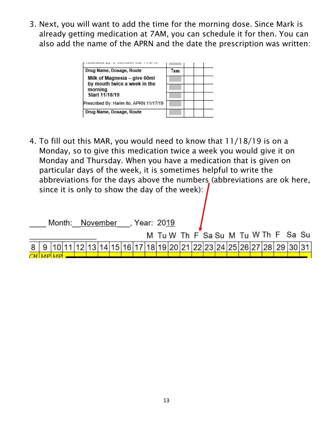3. Next, you will want to add the time for the morning dose. Since Mark is already getting medication at 7AM, you can schedule it for then. You can also add the name of the APRN and the date the prescription was written:

| Drug Name, Dosage, Route                                     | 7am |  |  |
|--------------------------------------------------------------|-----|--|--|
| Milk of Magnesia – give 60ml<br>by mouth twice a week in the |     |  |  |
| morning                                                      |     |  |  |
| Start 11/18/19                                               |     |  |  |
| Prescribed By: Harim Ito, APRN 11/17/19                      |     |  |  |
| Drug Name, Dosage, Route                                     |     |  |  |

4. To fill out this MAR, you would need to know that 11/18/19 is on a Monday, so to give this medication twice a week you would give it on Monday and Thursday. When you have a medication that is given on particular days of the week, it is sometimes helpful to write the abbreviations for the days above the numbers (abbreviations are ok here, since it is only to show the day of the week):

|  |  |  |  | Month: November, Year: 2019 |  |  |  |  |  |  |                                                                       |  |
|--|--|--|--|-----------------------------|--|--|--|--|--|--|-----------------------------------------------------------------------|--|
|  |  |  |  |                             |  |  |  |  |  |  | M Tu W Th F Sa Su M Tu W Th F Sa Su                                   |  |
|  |  |  |  |                             |  |  |  |  |  |  | 8 9 10 11 12 13 14 15 16 17 18 19 20 21 22 23 24 25 26 27 28 29 30 31 |  |
|  |  |  |  |                             |  |  |  |  |  |  |                                                                       |  |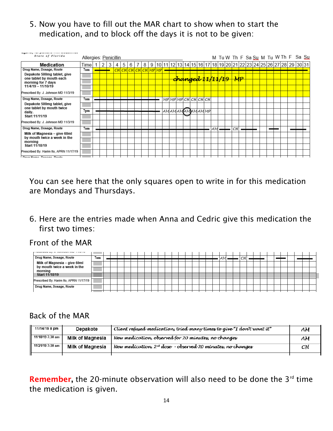5. Now you have to fill out the MAR chart to show when to start the medication, and to block off the days it is not to be given:



You can see here that the only squares open to write in for this medication are Mondays and Thursdays.

6. Here are the entries made when Anna and Cedric give this medication the first two times:

Front of the MAR

# Back of the MAR

| 11/14/19 8 pm    | Depakote                | Client refused medication, tried many times to give "I don't want it"  | AМ |
|------------------|-------------------------|------------------------------------------------------------------------|----|
| 11/18/19 7:30 am | <b>Milk of Magnesia</b> | New medication, observed for 20 minutes, no changes                    | AМ |
| 11/21/19 7:30 am | <b>Milk of Magnesia</b> | New medication, 2 <sup>nd</sup> dose - observed 20 minutes, no changes | CН |
|                  |                         |                                                                        |    |

**Remember,** the 20-minute observation will also need to be done the  $3^{rd}$  time the medication is given.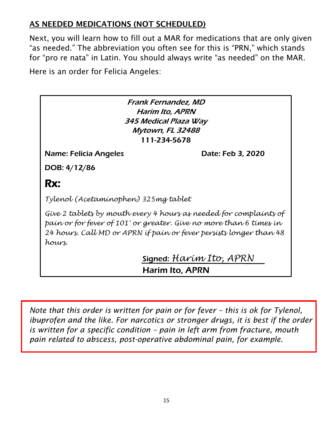# AS NEEDED MEDICATIONS (NOT SCHEDULED)

Next, you will learn how to fill out a MAR for medications that are only given "as needed." The abbreviation you often see for this is "PRN," which stands for "pro re nata" in Latin. You should always write "as needed" on the MAR.

Here is an order for Felicia Angeles:

Frank Fernandez, MD Harim Ito, APRN 345 Medical Plaza Way Mytown, FL 32488 111-234-5678

Name: Felicia Angeles Date: Feb 3, 2020

DOB: 4/12/86

# Rx:

*Tylenol (Acetaminophen) 325mg tablet*

*Give 2 tablets by mouth every 4 hours as needed for complaints of pain or for fever of 101° or greater. Give no more than 6 times in 24 hours. Call MD or APRN if pain or fever persists longer than 48 hours.*

> Signed: *Harim Ito, APRN* **Harim Ito, APRN**

*Note that this order is written for pain or for fever – this is ok for Tylenol, ibuprofen and the like. For narcotics or stronger drugs, it is best if the order is written for a specific condition – pain in left arm from fracture, mouth pain related to abscess, post-operative abdominal pain, for example.*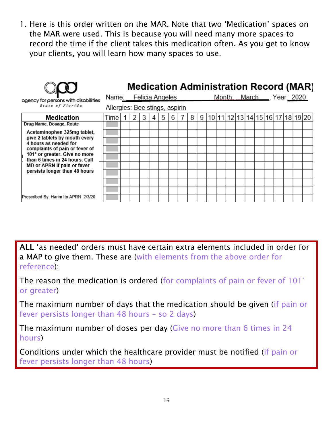1. Here is this order written on the MAR. Note that two 'Medication' spaces on the MAR were used. This is because you will need many more spaces to record the time if the client takes this medication often. As you get to know your clients, you will learn how many spaces to use.

|                                                                 |                       |                                |   |   |  |   |   |   |   |  |  |  |  |                                  | <b>Medication Administration Record (MAR)</b> |
|-----------------------------------------------------------------|-----------------------|--------------------------------|---|---|--|---|---|---|---|--|--|--|--|----------------------------------|-----------------------------------------------|
| agency for persons with disabilities                            | Name: Felicia Angeles |                                |   |   |  |   |   |   |   |  |  |  |  | Month: March ___, Year: 2020     |                                               |
| State of Florida                                                |                       | Allergies: Bee stings, aspirin |   |   |  |   |   |   |   |  |  |  |  |                                  |                                               |
| Medication                                                      | Timel                 |                                | 2 | 3 |  | 5 | 6 | 8 | 9 |  |  |  |  | 10 11 12 13 14 15 16 17 18 19 20 |                                               |
| Drug Name, Dosage, Route                                        |                       |                                |   |   |  |   |   |   |   |  |  |  |  |                                  |                                               |
| Acetaminophen 325mg tablet,                                     |                       |                                |   |   |  |   |   |   |   |  |  |  |  |                                  |                                               |
| give 2 tablets by mouth every<br>4 hours as needed for          |                       |                                |   |   |  |   |   |   |   |  |  |  |  |                                  |                                               |
| complaints of pain or fever of                                  |                       |                                |   |   |  |   |   |   |   |  |  |  |  |                                  |                                               |
| 101° or greater. Give no more<br>than 6 times in 24 hours. Call |                       |                                |   |   |  |   |   |   |   |  |  |  |  |                                  |                                               |
| MD or APRN if pain or fever                                     |                       |                                |   |   |  |   |   |   |   |  |  |  |  |                                  |                                               |
| persists longer than 48 hours                                   |                       |                                |   |   |  |   |   |   |   |  |  |  |  |                                  |                                               |
|                                                                 |                       |                                |   |   |  |   |   |   |   |  |  |  |  |                                  |                                               |
|                                                                 |                       |                                |   |   |  |   |   |   |   |  |  |  |  |                                  |                                               |
| Prescribed By: Harim Ito APRN 2/3/20                            |                       |                                |   |   |  |   |   |   |   |  |  |  |  |                                  |                                               |

ALL 'as needed' orders must have certain extra elements included in order for a MAP to give them. These are (with elements from the above order for reference):

The reason the medication is ordered (for complaints of pain or fever of 101° or greater)

The maximum number of days that the medication should be given (if pain or fever persists longer than 48 hours – so 2 days)

The maximum number of doses per day (Give no more than 6 times in 24 hours)

Conditions under which the healthcare provider must be notified (if pain or fever persists longer than 48 hours)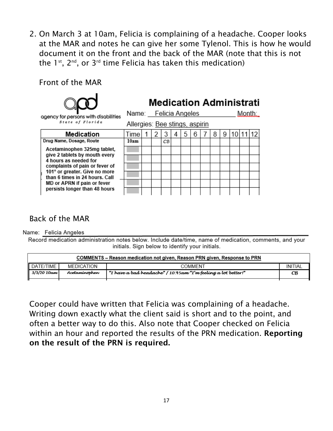2. On March 3 at 10am, Felicia is complaining of a headache. Cooper looks at the MAR and notes he can give her some Tylenol. This is how he would document it on the front and the back of the MAR (note that this is not the  $1^{st}$ ,  $2^{nd}$ , or  $3^{rd}$  time Felicia has taken this medication)

Front of the MAR



agency for persons with disabilities State of Florida

# **Medication Administrati**

Name: Felicia Angeles

Allergies: Bee stings, aspirin

| Medication                                                      | Гіmе |  |    |  | 6 |  | 9 |  |  |
|-----------------------------------------------------------------|------|--|----|--|---|--|---|--|--|
| Drug Name, Dosage, Route                                        | 10am |  | CВ |  |   |  |   |  |  |
| Acetaminophen 325mg tablet,                                     |      |  |    |  |   |  |   |  |  |
| give 2 tablets by mouth every<br>4 hours as needed for          |      |  |    |  |   |  |   |  |  |
| complaints of pain or fever of                                  |      |  |    |  |   |  |   |  |  |
| 101° or greater. Give no more<br>than 6 times in 24 hours. Call |      |  |    |  |   |  |   |  |  |
| MD or APRN if pain or fever                                     |      |  |    |  |   |  |   |  |  |
| persists longer than 48 hours                                   |      |  |    |  |   |  |   |  |  |

#### Back of the MAR

Name: Felicia Angeles

Record medication administration notes below. Include date/time, name of medication, comments, and your initials. Sign below to identify your initials.

|                    |               | COMMENTS – Reason medication not given, Reason PRN given, Response to PRN |         |
|--------------------|---------------|---------------------------------------------------------------------------|---------|
| <b>I</b> DATE/TIME | MEDICATION    | COMMENT                                                                   | INITIAL |
| $3/3/2010$ am      | Acetaminophen | "I have a bad headache" / 10:45am "I'm feeling a lot better!"             | CВ      |
|                    |               |                                                                           |         |

Cooper could have written that Felicia was complaining of a headache. Writing down exactly what the client said is short and to the point, and often a better way to do this. Also note that Cooper checked on Felicia within an hour and reported the results of the PRN medication. Reporting on the result of the PRN is required.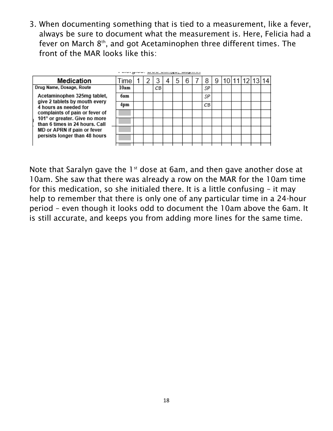3. When documenting something that is tied to a measurement, like a fever, always be sure to document what the measurement is. Here, Felicia had a fever on March 8<sup>th</sup>, and got Acetaminophen three different times. The front of the MAR looks like this:

| Medication                                                                                                                                          | Time |  |    | 5 | 6 | 8  | 9 |  | 10 11 12 13 |  |
|-----------------------------------------------------------------------------------------------------------------------------------------------------|------|--|----|---|---|----|---|--|-------------|--|
| Drug Name, Dosage, Route<br>Acetaminophen 325mg tablet,<br>give 2 tablets by mouth every<br>4 hours as needed for<br>complaints of pain or fever of | 10am |  | CВ |   |   | SP |   |  |             |  |
|                                                                                                                                                     | баm  |  |    |   |   | SP |   |  |             |  |
|                                                                                                                                                     | 4pm  |  |    |   |   | CВ |   |  |             |  |
|                                                                                                                                                     |      |  |    |   |   |    |   |  |             |  |
| 101° or greater. Give no more<br>than 6 times in 24 hours. Call                                                                                     |      |  |    |   |   |    |   |  |             |  |
| MD or APRN if pain or fever<br>persists longer than 48 hours                                                                                        |      |  |    |   |   |    |   |  |             |  |
|                                                                                                                                                     |      |  |    |   |   |    |   |  |             |  |
|                                                                                                                                                     |      |  |    |   |   |    |   |  |             |  |

Note that Saralyn gave the  $1^{st}$  dose at 6am, and then gave another dose at 10am. She saw that there was already a row on the MAR for the 10am time for this medication, so she initialed there. It is a little confusing – it may help to remember that there is only one of any particular time in a 24-hour period – even though it looks odd to document the 10am above the 6am. It is still accurate, and keeps you from adding more lines for the same time.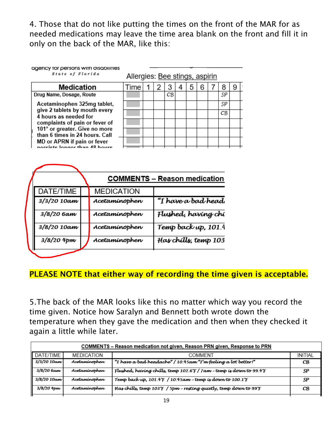4. Those that do not like putting the times on the front of the MAR for as needed medications may leave the time area blank on the front and fill it in only on the back of the MAR, like this:

| agency for persons with disabilities |  |
|--------------------------------------|--|

State of Florida

Allergies: Bee stings, aspirin

| Medication                                                                                                                                                                                                                                           |
|------------------------------------------------------------------------------------------------------------------------------------------------------------------------------------------------------------------------------------------------------|
| Drug Name, Dosage, Route                                                                                                                                                                                                                             |
| Acetaminophen 325mg tablet,<br>give 2 tablets by mouth every<br>4 hours as needed for<br>complaints of pain or fever of<br>101° or greater. Give no more<br>than 6 times in 24 hours. Call<br>MD or APRN if pain or fever<br>eiete longar than 18 ha |

|      |   |   |                | . |                |                |   |    |   |  |
|------|---|---|----------------|---|----------------|----------------|---|----|---|--|
| Time | 1 | 2 | 3              | 4 | 5 <sup>1</sup> | 6 <sup>°</sup> | 7 | 8  | 9 |  |
|      |   |   | $C\mathcal{B}$ |   |                |                |   | SP |   |  |
|      |   |   |                |   |                |                |   | SP |   |  |
|      |   |   |                |   |                |                |   | CВ |   |  |
|      |   |   |                |   |                |                |   |    |   |  |
|      |   |   |                |   |                |                |   |    |   |  |
|      |   |   |                |   |                |                |   |    |   |  |
|      |   |   |                |   |                |                |   |    |   |  |

|             |                   | <b>COMMENTS - Reason medication</b> |
|-------------|-------------------|-------------------------------------|
| DATE/TIME   | <b>MEDICATION</b> |                                     |
| 3/3/20 10am | Acetaminophen     | "I have a bad head                  |
| 3/8/20 6am  | Acetaminophen     | Flushed, haríng chí                 |
| 3/8/20 10am | Acetaminophen     | Temp back up, 101.4                 |
| 3/8/20 4pm  | Acetaminophen     | Has chills, temp 103                |

# PLEASE NOTE that either way of recording the time given is acceptable.

5.The back of the MAR looks like this no matter which way you record the time given. Notice how Saralyn and Bennett both wrote down the temperature when they gave the medication and then when they checked it again a little while later.

|              | <b>COMMENTS</b> – Reason medication not given, Reason PRN given, Response to PRN |                                                                                 |         |  |  |  |  |  |  |  |
|--------------|----------------------------------------------------------------------------------|---------------------------------------------------------------------------------|---------|--|--|--|--|--|--|--|
| DATE/TIME    | <b>MEDICATION</b>                                                                | COMMENT                                                                         | INITIAL |  |  |  |  |  |  |  |
| 3/3/20 10am  | Acetaminophen                                                                    | "I have a bad headache" / 10:45am "I'm feeling a lot better!"                   | CВ      |  |  |  |  |  |  |  |
| 3/8/20 6am   | Acetaminophen                                                                    | Flushed, having chills, temp $102.6$ F / 7 am - temp is down to 99.4 F          | S₽      |  |  |  |  |  |  |  |
| 3/8/20 10am  | Acetaminophen                                                                    | Temp back up, $101.4$ F $/$ 10.45am - temp is down to $100.1$ F                 | S₽      |  |  |  |  |  |  |  |
| $3/8/20$ 4pm | Acetamínophen                                                                    | Has chills, temp $103 +$ / $5 \text{pm}$ - resting quietly, temp down to $99 +$ | CВ      |  |  |  |  |  |  |  |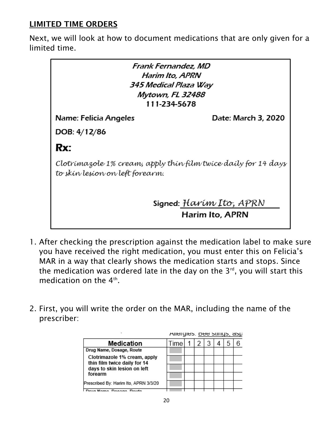### LIMITED TIME ORDERS

Next, we will look at how to document medications that are only given for a limited time.

| Frank Fernandez, MD<br>Harim Ito, APRN<br>345 Medical Plaza Way<br>Mytown, FL 32488<br>111-234-5678 |                                                   |  |  |  |  |  |  |  |
|-----------------------------------------------------------------------------------------------------|---------------------------------------------------|--|--|--|--|--|--|--|
| Name: Felicia Angeles<br>Date: March 3, 2020                                                        |                                                   |  |  |  |  |  |  |  |
| DOB: 4/12/86                                                                                        |                                                   |  |  |  |  |  |  |  |
| Rx:                                                                                                 |                                                   |  |  |  |  |  |  |  |
| Clotrímazole 1% cream, apply thín film twice daily for 14 days<br>to skín lesíon on left forearm.   |                                                   |  |  |  |  |  |  |  |
|                                                                                                     | Signed: Harím Ito, APRN<br><b>Harim Ito, APRN</b> |  |  |  |  |  |  |  |

- 1. After checking the prescription against the medication label to make sure you have received the right medication, you must enter this on Felicia's MAR in a way that clearly shows the medication starts and stops. Since the medication was ordered late in the day on the  $3^{rd}$ , you will start this medication on the  $4<sup>th</sup>$ .
- 2. First, you will write the order on the MAR, including the name of the prescriber:

|                                                              | Allergies. Dee surigs, asp |  |  |  |
|--------------------------------------------------------------|----------------------------|--|--|--|
| <b>Medication</b>                                            | Time                       |  |  |  |
| Drug Name, Dosage, Route                                     |                            |  |  |  |
| Clotrimazole 1% cream, apply<br>thin film twice daily for 14 |                            |  |  |  |
| days to skin lesion on left                                  |                            |  |  |  |
| forearm                                                      |                            |  |  |  |
| Prescribed By: Harim Ito, APRN 3/3/20                        |                            |  |  |  |
| Name Dessas Douts                                            |                            |  |  |  |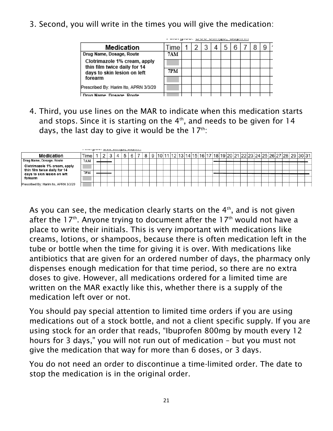3. Second, you will write in the times you will give the medication:

| Medication                                                   | ime        |  |  | 6 |  | g |
|--------------------------------------------------------------|------------|--|--|---|--|---|
| Drug Name, Dosage, Route                                     | <b>7AM</b> |  |  |   |  |   |
| Clotrimazole 1% cream, apply<br>thin film twice daily for 14 |            |  |  |   |  |   |
| days to skin lesion on left                                  | 7PM        |  |  |   |  |   |
| forearm                                                      |            |  |  |   |  |   |
| Prescribed By: Harim Ito, APRN 3/3/20                        |            |  |  |   |  |   |
| Drug Name, Dossoe, Doute                                     |            |  |  |   |  |   |

4. Third, you use lines on the MAR to indicate when this medication starts and stops. Since it is starting on the  $4<sup>th</sup>$ , and needs to be given for 14 days, the last day to give it would be the  $17<sup>th</sup>$ .

| Medication                                                   | l ime      |  |  |  | $\circ$ | 9 | 1011 |  |  |  |  |  |  |  |  |  | 11   12   13   14   15   16   17   18   19   20   21   22   23   24   25   26   27   28   29   30   31 |  |
|--------------------------------------------------------------|------------|--|--|--|---------|---|------|--|--|--|--|--|--|--|--|--|--------------------------------------------------------------------------------------------------------|--|
| Drug Name, Dosage, Route                                     | <b>7AM</b> |  |  |  |         |   |      |  |  |  |  |  |  |  |  |  |                                                                                                        |  |
| Clotrimazole 1% cream, apply<br>thin film twice daily for 14 |            |  |  |  |         |   |      |  |  |  |  |  |  |  |  |  |                                                                                                        |  |
| days to skin lesion on left                                  | 7PM        |  |  |  |         |   |      |  |  |  |  |  |  |  |  |  |                                                                                                        |  |
| forearm                                                      |            |  |  |  |         |   |      |  |  |  |  |  |  |  |  |  |                                                                                                        |  |
| Prescribed By: Harim Ito, APRN 3/3/20                        |            |  |  |  |         |   |      |  |  |  |  |  |  |  |  |  |                                                                                                        |  |

As you can see, the medication clearly starts on the  $4<sup>th</sup>$ , and is not given after the 17<sup>th</sup>. Anyone trying to document after the 17<sup>th</sup> would not have a place to write their initials. This is very important with medications like creams, lotions, or shampoos, because there is often medication left in the tube or bottle when the time for giving it is over. With medications like antibiotics that are given for an ordered number of days, the pharmacy only dispenses enough medication for that time period, so there are no extra doses to give. However, all medications ordered for a limited time are written on the MAR exactly like this, whether there is a supply of the medication left over or not.

You should pay special attention to limited time orders if you are using medications out of a stock bottle, and not a client specific supply. If you are using stock for an order that reads, "Ibuprofen 800mg by mouth every 12 hours for 3 days," you will not run out of medication – but you must not give the medication that way for more than 6 doses, or 3 days.

You do not need an order to discontinue a time-limited order. The date to stop the medication is in the original order.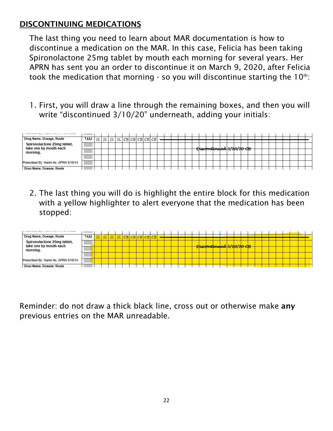#### DISCONTINUING MEDICATIONS

The last thing you need to learn about MAR documentation is how to discontinue a medication on the MAR. In this case, Felicia has been taking Spironolactone 25mg tablet by mouth each morning for several years. Her APRN has sent you an order to discontinue it on March 9, 2020, after Felicia took the medication that morning - so you will discontinue starting the  $10<sup>th</sup>$ :

1. First, you will draw a line through the remaining boxes, and then you will write "discontinued 3/10/20" underneath, adding your initials:



2. The last thing you will do is highlight the entire block for this medication with a yellow highlighter to alert everyone that the medication has been stopped:



Reminder: do not draw a thick black line, cross out or otherwise make any previous entries on the MAR unreadable.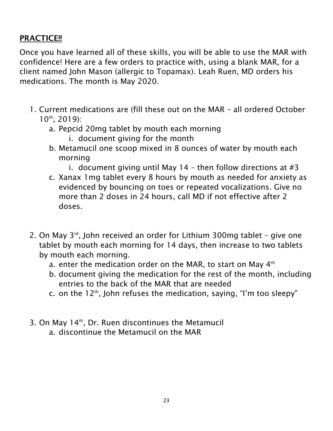### PRACTICE!!

Once you have learned all of these skills, you will be able to use the MAR with confidence! Here are a few orders to practice with, using a blank MAR, for a client named John Mason (allergic to Topamax). Leah Ruen, MD orders his medications. The month is May 2020.

- 1. Current medications are (fill these out on the MAR all ordered October 10th, 2019):
	- a. Pepcid 20mg tablet by mouth each morning
		- i. document giving for the month
	- b. Metamucil one scoop mixed in 8 ounces of water by mouth each morning
		- i. document giving until May 14 then follow directions at  $#3$
	- c. Xanax 1mg tablet every 8 hours by mouth as needed for anxiety as evidenced by bouncing on toes or repeated vocalizations. Give no more than 2 doses in 24 hours, call MD if not effective after 2 doses.
- 2. On May 3<sup>rd</sup>, John received an order for Lithium 300mg tablet give one tablet by mouth each morning for 14 days, then increase to two tablets by mouth each morning.
	- a. enter the medication order on the MAR, to start on May  $4<sup>th</sup>$
	- b. document giving the medication for the rest of the month, including entries to the back of the MAR that are needed
	- c. on the  $12<sup>th</sup>$ , John refuses the medication, saying, "I'm too sleepy"
- 3. On May 14<sup>th</sup>, Dr. Ruen discontinues the Metamucil
	- a. discontinue the Metamucil on the MAR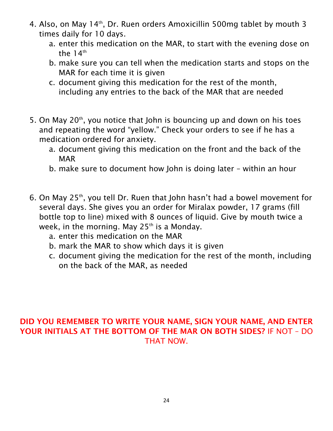- 4. Also, on May 14<sup>th</sup>, Dr. Ruen orders Amoxicillin 500mg tablet by mouth 3 times daily for 10 days.
	- a. enter this medication on the MAR, to start with the evening dose on the  $14<sup>th</sup>$
	- b. make sure you can tell when the medication starts and stops on the MAR for each time it is given
	- c. document giving this medication for the rest of the month, including any entries to the back of the MAR that are needed
- 5. On May  $20<sup>th</sup>$ , you notice that John is bouncing up and down on his toes and repeating the word "yellow." Check your orders to see if he has a medication ordered for anxiety.
	- a. document giving this medication on the front and the back of the **MAR**
	- b. make sure to document how John is doing later within an hour
- 6. On May 25<sup>th</sup>, you tell Dr. Ruen that John hasn't had a bowel movement for several days. She gives you an order for Miralax powder, 17 grams (fill bottle top to line) mixed with 8 ounces of liquid. Give by mouth twice a week, in the morning. May  $25<sup>th</sup>$  is a Monday.
	- a. enter this medication on the MAR
	- b. mark the MAR to show which days it is given
	- c. document giving the medication for the rest of the month, including on the back of the MAR, as needed

#### DID YOU REMEMBER TO WRITE YOUR NAME, SIGN YOUR NAME, AND ENTER YOUR INITIALS AT THE BOTTOM OF THE MAR ON BOTH SIDES? IF NOT – DO THAT NOW.